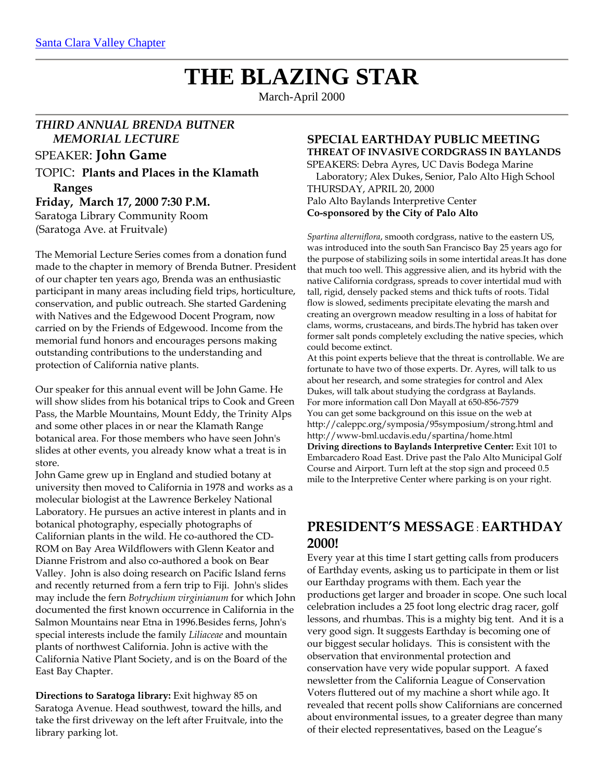# **THE BLAZING STAR**

March-April 2000

# *THIRD ANNUAL BRENDA BUTNER MEMORIAL LECTURE*

# SPEAKER: **John Game**

TOPIC: **Plants and Places in the Klamath Ranges Friday, March 17, 2000 7:30 P.M.** Saratoga Library Community Room

(Saratoga Ave. at Fruitvale)

The Memorial Lecture Series comes from a donation fund made to the chapter in memory of Brenda Butner. President of our chapter ten years ago, Brenda was an enthusiastic participant in many areas including field trips, horticulture, conservation, and public outreach. She started Gardening with Natives and the Edgewood Docent Program, now carried on by the Friends of Edgewood. Income from the memorial fund honors and encourages persons making outstanding contributions to the understanding and protection of California native plants.

Our speaker for this annual event will be John Game. He will show slides from his botanical trips to Cook and Green Pass, the Marble Mountains, Mount Eddy, the Trinity Alps and some other places in or near the Klamath Range botanical area. For those members who have seen John's slides at other events, you already know what a treat is in store.

John Game grew up in England and studied botany at university then moved to California in 1978 and works as a molecular biologist at the Lawrence Berkeley National Laboratory. He pursues an active interest in plants and in botanical photography, especially photographs of Californian plants in the wild. He co-authored the CD-ROM on Bay Area Wildflowers with Glenn Keator and Dianne Fristrom and also co-authored a book on Bear Valley. John is also doing research on Pacific Island ferns and recently returned from a fern trip to Fiji. John's slides may include the fern *Botrychium virginianum* for which John documented the first known occurrence in California in the Salmon Mountains near Etna in 1996.Besides ferns, John's special interests include the family *Liliaceae* and mountain plants of northwest California. John is active with the California Native Plant Society, and is on the Board of the East Bay Chapter.

**Directions to Saratoga library:** Exit highway 85 on Saratoga Avenue. Head southwest, toward the hills, and take the first driveway on the left after Fruitvale, into the library parking lot.

## **SPECIAL EARTHDAY PUBLIC MEETING THREAT OF INVASIVE CORDGRASS IN BAYLANDS**

SPEAKERS: Debra Ayres, UC Davis Bodega Marine Laboratory; Alex Dukes, Senior, Palo Alto High School THURSDAY, APRIL 20, 2000 Palo Alto Baylands Interpretive Center **Co-sponsored by the City of Palo Alto**

*Spartina alterniflora*, smooth cordgrass, native to the eastern US, was introduced into the south San Francisco Bay 25 years ago for the purpose of stabilizing soils in some intertidal areas.It has done that much too well. This aggressive alien, and its hybrid with the native California cordgrass, spreads to cover intertidal mud with tall, rigid, densely packed stems and thick tufts of roots. Tidal flow is slowed, sediments precipitate elevating the marsh and creating an overgrown meadow resulting in a loss of habitat for clams, worms, crustaceans, and birds.The hybrid has taken over former salt ponds completely excluding the native species, which could become extinct.

At this point experts believe that the threat is controllable. We are fortunate to have two of those experts. Dr. Ayres, will talk to us about her research, and some strategies for control and Alex Dukes, will talk about studying the cordgrass at Baylands. For more information call Don Mayall at 650-856-7579 You can get some background on this issue on the web at http://caleppc.org/symposia/95symposium/strong.html and http://www-bml.ucdavis.edu/spartina/home.html **Driving directions to Baylands Interpretive Center:** Exit 101 to Embarcadero Road East. Drive past the Palo Alto Municipal Golf Course and Airport. Turn left at the stop sign and proceed 0.5 mile to the Interpretive Center where parking is on your right.

# **PRESIDENT'S MESSAGE** : **EARTHDAY 2000!**

Every year at this time I start getting calls from producers of Earthday events, asking us to participate in them or list our Earthday programs with them. Each year the productions get larger and broader in scope. One such local celebration includes a 25 foot long electric drag racer, golf lessons, and rhumbas. This is a mighty big tent. And it is a very good sign. It suggests Earthday is becoming one of our biggest secular holidays. This is consistent with the observation that environmental protection and conservation have very wide popular support. A faxed newsletter from the California League of Conservation Voters fluttered out of my machine a short while ago. It revealed that recent polls show Californians are concerned about environmental issues, to a greater degree than many of their elected representatives, based on the League's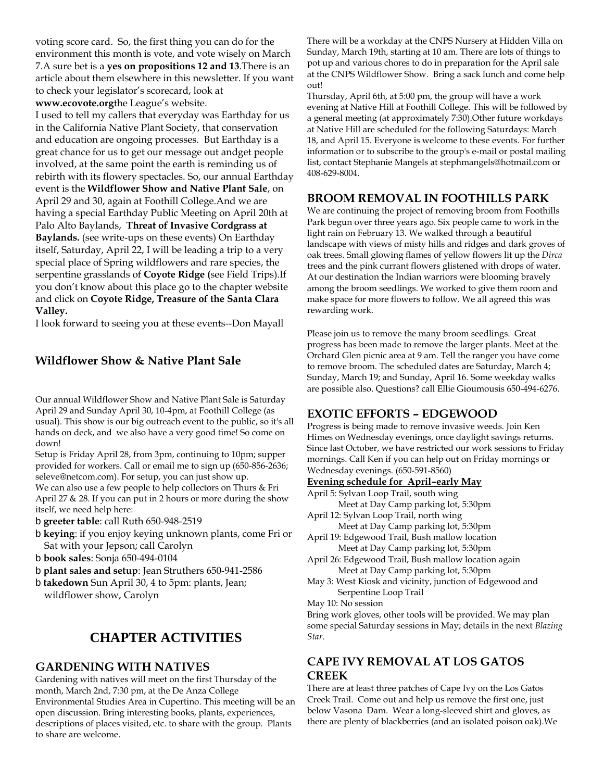voting score card. So, the first thing you can do for the environment this month is vote, and vote wisely on March 7.A sure bet is a **yes on propositions 12 and 13**.There is an article about them elsewhere in this newsletter. If you want to check your legislator's scorecard, look at **www.ecovote.org**the League's website.

I used to tell my callers that everyday was Earthday for us in the California Native Plant Society, that conservation and education are ongoing processes. But Earthday is a great chance for us to get our message out andget people involved, at the same point the earth is reminding us of rebirth with its flowery spectacles. So, our annual Earthday event is the **Wildflower Show and Native Plant Sale**, on April 29 and 30, again at Foothill College.And we are having a special Earthday Public Meeting on April 20th at Palo Alto Baylands, **Threat of Invasive Cordgrass at Baylands.** (see write-ups on these events) On Earthday itself, Saturday, April 22, I will be leading a trip to a very special place of Spring wildflowers and rare species, the serpentine grasslands of **Coyote Ridge (**see Field Trips).If you don't know about this place go to the chapter website and click on **Coyote Ridge, Treasure of the Santa Clara Valley.**

I look forward to seeing you at these events--Don Mayall

# **Wildflower Show & Native Plant Sale**

Our annual Wildflower Show and Native Plant Sale is Saturday April 29 and Sunday April 30, 10-4pm, at Foothill College (as usual). This show is our big outreach event to the public, so it's all hands on deck, and we also have a very good time! So come on down!

Setup is Friday April 28, from 3pm, continuing to 10pm; supper provided for workers. Call or email me to sign up (650-856-2636; seleve@netcom.com). For setup, you can just show up. We can also use a few people to help collectors on Thurs & Fri April 27 & 28. If you can put in 2 hours or more during the show itself, we need help here:

b **greeter table**: call Ruth 650-948-2519

- b **keying**: if you enjoy keying unknown plants, come Fri or Sat with your Jepson; call Carolyn
- b **book sales**: Sonja 650-494-0104
- b **plant sales and setup**: Jean Struthers 650-941-2586
- b **takedown** Sun April 30, 4 to 5pm: plants, Jean; wildflower show, Carolyn

# **CHAPTER ACTIVITIES**

# **GARDENING WITH NATIVES**

Gardening with natives will meet on the first Thursday of the month, March 2nd, 7:30 pm, at the De Anza College Environmental Studies Area in Cupertino. This meeting will be an open discussion. Bring interesting books, plants, experiences, descriptions of places visited, etc. to share with the group. Plants to share are welcome.

There will be a workday at the CNPS Nursery at Hidden Villa on Sunday, March 19th, starting at 10 am. There are lots of things to pot up and various chores to do in preparation for the April sale at the CNPS Wildflower Show. Bring a sack lunch and come help out!

Thursday, April 6th, at 5:00 pm, the group will have a work evening at Native Hill at Foothill College. This will be followed by a general meeting (at approximately 7:30).Other future workdays at Native Hill are scheduled for the following Saturdays: March 18, and April 15. Everyone is welcome to these events. For further information or to subscribe to the group's e-mail or postal mailing list, contact Stephanie Mangels at stephmangels@hotmail.com or 408-629-8004.

# **BROOM REMOVAL IN FOOTHILLS PARK**

We are continuing the project of removing broom from Foothills Park begun over three years ago. Six people came to work in the light rain on February 13. We walked through a beautiful landscape with views of misty hills and ridges and dark groves of oak trees. Small glowing flames of yellow flowers lit up the *Dirca* trees and the pink currant flowers glistened with drops of water. At our destination the Indian warriors were blooming bravely among the broom seedlings. We worked to give them room and make space for more flowers to follow. We all agreed this was rewarding work.

Please join us to remove the many broom seedlings. Great progress has been made to remove the larger plants. Meet at the Orchard Glen picnic area at 9 am. Tell the ranger you have come to remove broom. The scheduled dates are Saturday, March 4; Sunday, March 19; and Sunday, April 16. Some weekday walks are possible also. Questions? call Ellie Gioumousis 650-494-6276.

# **EXOTIC EFFORTS – EDGEWOOD**

Progress is being made to remove invasive weeds. Join Ken Himes on Wednesday evenings, once daylight savings returns. Since last October, we have restricted our work sessions to Friday mornings. Call Ken if you can help out on Friday mornings or Wednesday evenings. (650-591-8560)

#### **Evening schedule for April–early May**

April 5: Sylvan Loop Trail, south wing

Meet at Day Camp parking lot, 5:30pm

April 12: Sylvan Loop Trail, north wing

Meet at Day Camp parking lot, 5:30pm April 19: Edgewood Trail, Bush mallow location

Meet at Day Camp parking lot, 5:30pm April 26: Edgewood Trail, Bush mallow location again Meet at Day Camp parking lot, 5:30pm

May 3: West Kiosk and vicinity, junction of Edgewood and Serpentine Loop Trail

May 10: No session

Bring work gloves, other tools will be provided. We may plan some special Saturday sessions in May; details in the next *Blazing Star*.

# **CAPE IVY REMOVAL AT LOS GATOS CREEK**

There are at least three patches of Cape Ivy on the Los Gatos Creek Trail. Come out and help us remove the first one, just below Vasona Dam. Wear a long-sleeved shirt and gloves, as there are plenty of blackberries (and an isolated poison oak).We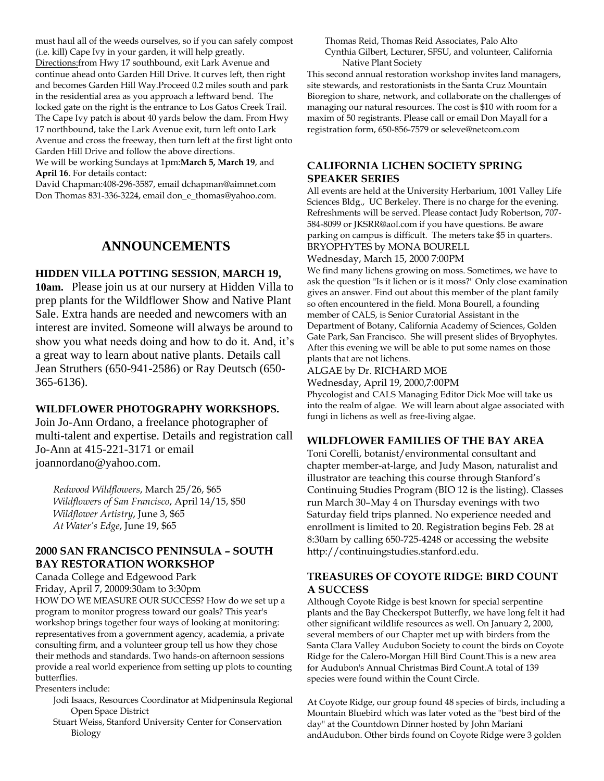must haul all of the weeds ourselves, so if you can safely compost (i.e. kill) Cape Ivy in your garden, it will help greatly. Directions:from Hwy 17 southbound, exit Lark Avenue and continue ahead onto Garden Hill Drive. It curves left, then right and becomes Garden Hill Way.Proceed 0.2 miles south and park in the residential area as you approach a leftward bend. The locked gate on the right is the entrance to Los Gatos Creek Trail. The Cape Ivy patch is about 40 yards below the dam. From Hwy 17 northbound, take the Lark Avenue exit, turn left onto Lark Avenue and cross the freeway, then turn left at the first light onto Garden Hill Drive and follow the above directions.

We will be working Sundays at 1pm:**March 5, March 19**, and **April 16**. For details contact:

David Chapman:408-296-3587, email dchapman@aimnet.com Don Thomas 831-336-3224, email don\_e\_thomas@yahoo.com.

# **ANNOUNCEMENTS**

#### **HIDDEN VILLA POTTING SESSION**, **MARCH 19,**

**10am.** Please join us at our nursery at Hidden Villa to prep plants for the Wildflower Show and Native Plant Sale. Extra hands are needed and newcomers with an interest are invited. Someone will always be around to show you what needs doing and how to do it. And, it's a great way to learn about native plants. Details call Jean Struthers (650-941-2586) or Ray Deutsch (650- 365-6136).

#### **WILDFLOWER PHOTOGRAPHY WORKSHOPS.**

Join Jo-Ann Ordano, a freelance photographer of multi-talent and expertise. Details and registration call Jo-Ann at 415-221-3171 or email joannordano@yahoo.com.

*Redwood Wildflowers*, March 25/26, \$65 *Wildflowers of San Francisco*, April 14/15, \$50 *Wildflower Artistry*, June 3, \$65 *At Water's Edge*, June 19, \$65

# **2000 SAN FRANCISCO PENINSULA – SOUTH BAY RESTORATION WORKSHOP**

Canada College and Edgewood Park

Friday, April 7, 20009:30am to 3:30pm

HOW DO WE MEASURE OUR SUCCESS? How do we set up a program to monitor progress toward our goals? This year's workshop brings together four ways of looking at monitoring: representatives from a government agency, academia, a private consulting firm, and a volunteer group tell us how they chose their methods and standards. Two hands-on afternoon sessions provide a real world experience from setting up plots to counting butterflies.

Presenters include:

- Jodi Isaacs, Resources Coordinator at Midpeninsula Regional Open Space District
- Stuart Weiss, Stanford University Center for Conservation Biology

Thomas Reid, Thomas Reid Associates, Palo Alto Cynthia Gilbert, Lecturer, SFSU, and volunteer, California Native Plant Society

This second annual restoration workshop invites land managers, site stewards, and restorationists in the Santa Cruz Mountain Bioregion to share, network, and collaborate on the challenges of managing our natural resources. The cost is \$10 with room for a maxim of 50 registrants. Please call or email Don Mayall for a registration form, 650-856-7579 or seleve@netcom.com

# **CALIFORNIA LICHEN SOCIETY SPRING SPEAKER SERIES**

All events are held at the University Herbarium, 1001 Valley Life Sciences Bldg., UC Berkeley. There is no charge for the evening. Refreshments will be served. Please contact Judy Robertson, 707- 584-8099 or JKSRR@aol.com if you have questions. Be aware parking on campus is difficult. The meters take \$5 in quarters. BRYOPHYTES by MONA BOURELL

Wednesday, March 15, 2000 7:00PM

We find many lichens growing on moss. Sometimes, we have to ask the question "Is it lichen or is it moss?" Only close examination gives an answer. Find out about this member of the plant family so often encountered in the field. Mona Bourell, a founding member of CALS, is Senior Curatorial Assistant in the Department of Botany, California Academy of Sciences, Golden Gate Park, San Francisco. She will present slides of Bryophytes. After this evening we will be able to put some names on those plants that are not lichens.

#### ALGAE by Dr. RICHARD MOE

Wednesday, April 19, 2000,7:00PM

Phycologist and CALS Managing Editor Dick Moe will take us into the realm of algae. We will learn about algae associated with fungi in lichens as well as free-living algae.

#### **WILDFLOWER FAMILIES OF THE BAY AREA**

Toni Corelli, botanist/environmental consultant and chapter member-at-large, and Judy Mason, naturalist and illustrator are teaching this course through Stanford's Continuing Studies Program (BIO 12 is the listing). Classes run March 30–May 4 on Thursday evenings with two Saturday field trips planned. No experience needed and enrollment is limited to 20. Registration begins Feb. 28 at 8:30am by calling 650-725-4248 or accessing the website http://continuingstudies.stanford.edu.

#### **TREASURES OF COYOTE RIDGE: BIRD COUNT A SUCCESS**

Although Coyote Ridge is best known for special serpentine plants and the Bay Checkerspot Butterfly, we have long felt it had other significant wildlife resources as well. On January 2, 2000, several members of our Chapter met up with birders from the Santa Clara Valley Audubon Society to count the birds on Coyote Ridge for the Calero-Morgan Hill Bird Count.This is a new area for Audubon's Annual Christmas Bird Count.A total of 139 species were found within the Count Circle.

At Coyote Ridge, our group found 48 species of birds, including a Mountain Bluebird which was later voted as the "best bird of the day" at the Countdown Dinner hosted by John Mariani andAudubon. Other birds found on Coyote Ridge were 3 golden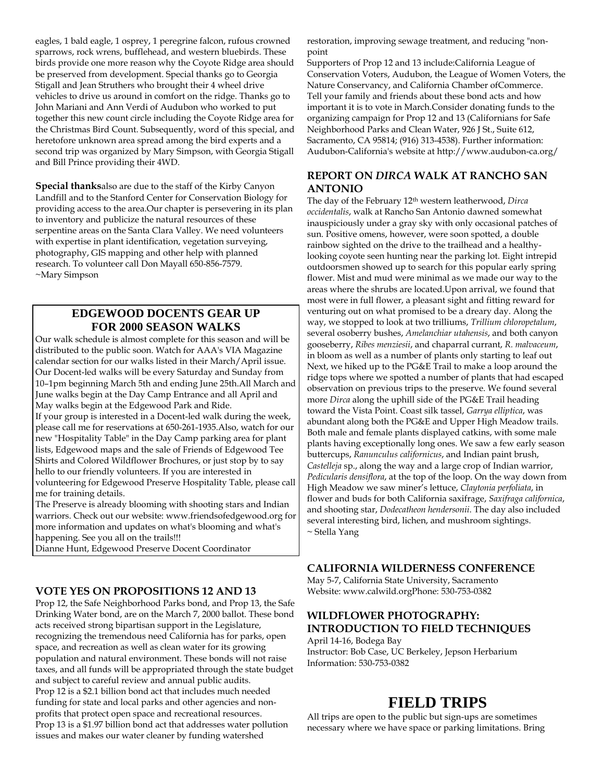eagles, 1 bald eagle, 1 osprey, 1 peregrine falcon, rufous crowned sparrows, rock wrens, bufflehead, and western bluebirds. These birds provide one more reason why the Coyote Ridge area should be preserved from development. Special thanks go to Georgia Stigall and Jean Struthers who brought their 4 wheel drive vehicles to drive us around in comfort on the ridge. Thanks go to John Mariani and Ann Verdi of Audubon who worked to put together this new count circle including the Coyote Ridge area for the Christmas Bird Count. Subsequently, word of this special, and heretofore unknown area spread among the bird experts and a second trip was organized by Mary Simpson, with Georgia Stigall and Bill Prince providing their 4WD.

**Special thanks**also are due to the staff of the Kirby Canyon Landfill and to the Stanford Center for Conservation Biology for providing access to the area.Our chapter is persevering in its plan to inventory and publicize the natural resources of these serpentine areas on the Santa Clara Valley. We need volunteers with expertise in plant identification, vegetation surveying, photography, GIS mapping and other help with planned research. To volunteer call Don Mayall 650-856-7579. ~Mary Simpson

# **EDGEWOOD DOCENTS GEAR UP FOR 2000 SEASON WALKS**

Our walk schedule is almost complete for this season and will be distributed to the public soon. Watch for AAA's VIA Magazine calendar section for our walks listed in their March/April issue. Our Docent-led walks will be every Saturday and Sunday from 10–1pm beginning March 5th and ending June 25th.All March and June walks begin at the Day Camp Entrance and all April and May walks begin at the Edgewood Park and Ride. If your group is interested in a Docent-led walk during the week, please call me for reservations at 650-261-1935.Also, watch for our new "Hospitality Table" in the Day Camp parking area for plant lists, Edgewood maps and the sale of Friends of Edgewood Tee Shirts and Colored Wildflower Brochures, or just stop by to say hello to our friendly volunteers. If you are interested in volunteering for Edgewood Preserve Hospitality Table, please call me for training details. The Preserve is already blooming with shooting stars and Indian

warriors. Check out our website: www.friendsofedgewood.org for more information and updates on what's blooming and what's happening. See you all on the trails!!!

Dianne Hunt, Edgewood Preserve Docent Coordinator

#### **VOTE YES ON PROPOSITIONS 12 AND 13**

Prop 12, the Safe Neighborhood Parks bond, and Prop 13, the Safe Drinking Water bond, are on the March 7, 2000 ballot. These bond acts received strong bipartisan support in the Legislature, recognizing the tremendous need California has for parks, open space, and recreation as well as clean water for its growing population and natural environment. These bonds will not raise taxes, and all funds will be appropriated through the state budget and subject to careful review and annual public audits. Prop 12 is a \$2.1 billion bond act that includes much needed funding for state and local parks and other agencies and nonprofits that protect open space and recreational resources. Prop 13 is a \$1.97 billion bond act that addresses water pollution issues and makes our water cleaner by funding watershed

restoration, improving sewage treatment, and reducing "nonpoint

Supporters of Prop 12 and 13 include:California League of Conservation Voters, Audubon, the League of Women Voters, the Nature Conservancy, and California Chamber ofCommerce. Tell your family and friends about these bond acts and how important it is to vote in March.Consider donating funds to the organizing campaign for Prop 12 and 13 (Californians for Safe Neighborhood Parks and Clean Water, 926 J St., Suite 612, Sacramento, CA 95814; (916) 313-4538). Further information: Audubon-California's website at http://www.audubon-ca.org/

#### **REPORT ON** *DIRCA* **WALK AT RANCHO SAN ANTONIO**

The day of the February 12th western leatherwood, *Dirca occidentalis*, walk at Rancho San Antonio dawned somewhat inauspiciously under a gray sky with only occasional patches of sun. Positive omens, however, were soon spotted, a double rainbow sighted on the drive to the trailhead and a healthylooking coyote seen hunting near the parking lot. Eight intrepid outdoorsmen showed up to search for this popular early spring flower. Mist and mud were minimal as we made our way to the areas where the shrubs are located.Upon arrival, we found that most were in full flower, a pleasant sight and fitting reward for venturing out on what promised to be a dreary day. Along the way, we stopped to look at two trilliums, *Trillium chloropetalum*, several osoberry bushes, *Amelanchiar utahensis*, and both canyon gooseberry, *Ribes menziesii*, and chaparral currant, *R. malvaceum*, in bloom as well as a number of plants only starting to leaf out Next, we hiked up to the PG&E Trail to make a loop around the ridge tops where we spotted a number of plants that had escaped observation on previous trips to the preserve. We found several more *Dirca* along the uphill side of the PG&E Trail heading toward the Vista Point. Coast silk tassel, *Garrya elliptica*, was abundant along both the PG&E and Upper High Meadow trails. Both male and female plants displayed catkins, with some male plants having exceptionally long ones. We saw a few early season buttercups, *Ranunculus californicus*, and Indian paint brush, *Castelleja* sp., along the way and a large crop of Indian warrior, *Pedicularis densiflora*, at the top of the loop. On the way down from High Meadow we saw miner's lettuce, *Claytonia perfoliata*, in flower and buds for both California saxifrage, *Saxifraga californica*, and shooting star, *Dodecatheon hendersonii*. The day also included several interesting bird, lichen, and mushroom sightings. ~ Stella Yang

#### **CALIFORNIA WILDERNESS CONFERENCE**

May 5-7, California State University, Sacramento Website: www.calwild.orgPhone: 530-753-0382

## **WILDFLOWER PHOTOGRAPHY: INTRODUCTION TO FIELD TECHNIQUES**

April 14-16, Bodega Bay Instructor: Bob Case, UC Berkeley, Jepson Herbarium Information: 530-753-0382

# **FIELD TRIPS**

All trips are open to the public but sign-ups are sometimes necessary where we have space or parking limitations. Bring